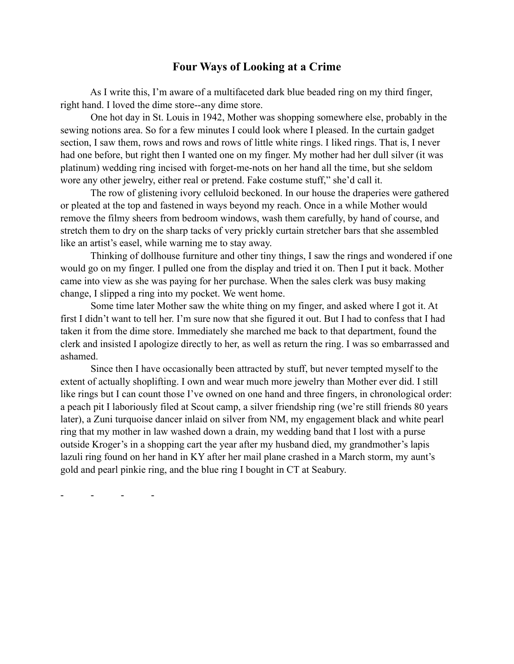## **Four Ways of Looking at a Crime**

 As I write this, I'm aware of a multifaceted dark blue beaded ring on my third finger, right hand. I loved the dime store--any dime store.

 One hot day in St. Louis in 1942, Mother was shopping somewhere else, probably in the sewing notions area. So for a few minutes I could look where I pleased. In the curtain gadget section, I saw them, rows and rows and rows of little white rings. I liked rings. That is, I never had one before, but right then I wanted one on my finger. My mother had her dull silver (it was platinum) wedding ring incised with forget-me-nots on her hand all the time, but she seldom wore any other jewelry, either real or pretend. Fake costume stuff," she'd call it.

 The row of glistening ivory celluloid beckoned. In our house the draperies were gathered or pleated at the top and fastened in ways beyond my reach. Once in a while Mother would remove the filmy sheers from bedroom windows, wash them carefully, by hand of course, and stretch them to dry on the sharp tacks of very prickly curtain stretcher bars that she assembled like an artist's easel, while warning me to stay away.

 Thinking of dollhouse furniture and other tiny things, I saw the rings and wondered if one would go on my finger. I pulled one from the display and tried it on. Then I put it back. Mother came into view as she was paying for her purchase. When the sales clerk was busy making change, I slipped a ring into my pocket. We went home.

 Some time later Mother saw the white thing on my finger, and asked where I got it. At first I didn't want to tell her. I'm sure now that she figured it out. But I had to confess that I had taken it from the dime store. Immediately she marched me back to that department, found the clerk and insisted I apologize directly to her, as well as return the ring. I was so embarrassed and ashamed.

 Since then I have occasionally been attracted by stuff, but never tempted myself to the extent of actually shoplifting. I own and wear much more jewelry than Mother ever did. I still like rings but I can count those I've owned on one hand and three fingers, in chronological order: a peach pit I laboriously filed at Scout camp, a silver friendship ring (we're still friends 80 years later), a Zuni turquoise dancer inlaid on silver from NM, my engagement black and white pearl ring that my mother in law washed down a drain, my wedding band that I lost with a purse outside Kroger's in a shopping cart the year after my husband died, my grandmother's lapis lazuli ring found on her hand in KY after her mail plane crashed in a March storm, my aunt's gold and pearl pinkie ring, and the blue ring I bought in CT at Seabury.

- - - -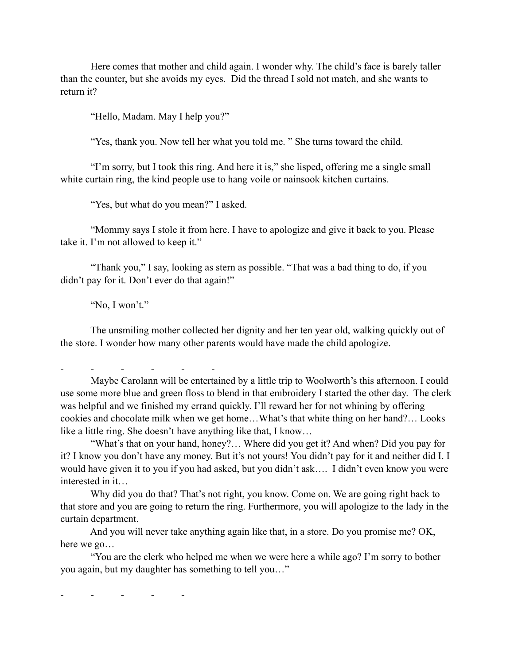Here comes that mother and child again. I wonder why. The child's face is barely taller than the counter, but she avoids my eyes. Did the thread I sold not match, and she wants to return it?

"Hello, Madam. May I help you?"

"Yes, thank you. Now tell her what you told me. " She turns toward the child.

 "I'm sorry, but I took this ring. And here it is," she lisped, offering me a single small white curtain ring, the kind people use to hang voile or nainsook kitchen curtains.

"Yes, but what do you mean?" I asked.

 "Mommy says I stole it from here. I have to apologize and give it back to you. Please take it. I'm not allowed to keep it."

 "Thank you," I say, looking as stern as possible. "That was a bad thing to do, if you didn't pay for it. Don't ever do that again!"

"No, I won't."

 The unsmiling mother collected her dignity and her ten year old, walking quickly out of the store. I wonder how many other parents would have made the child apologize.

- - - - - -

 Maybe Carolann will be entertained by a little trip to Woolworth's this afternoon. I could use some more blue and green floss to blend in that embroidery I started the other day. The clerk was helpful and we finished my errand quickly. I'll reward her for not whining by offering cookies and chocolate milk when we get home…What's that white thing on her hand?… Looks like a little ring. She doesn't have anything like that, I know…

 "What's that on your hand, honey?… Where did you get it? And when? Did you pay for it? I know you don't have any money. But it's not yours! You didn't pay for it and neither did I. I would have given it to you if you had asked, but you didn't ask…. I didn't even know you were interested in it…

 Why did you do that? That's not right, you know. Come on. We are going right back to that store and you are going to return the ring. Furthermore, you will apologize to the lady in the curtain department.

 And you will never take anything again like that, in a store. Do you promise me? OK, here we go…

 "You are the clerk who helped me when we were here a while ago? I'm sorry to bother you again, but my daughter has something to tell you…"

- - - - -